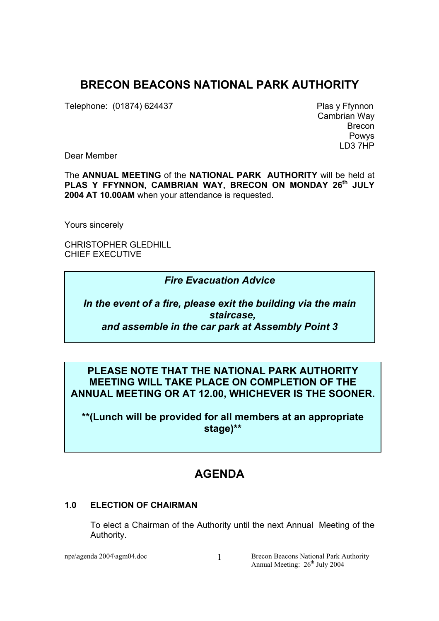# **BRECON BEACONS NATIONAL PARK AUTHORITY**

Telephone: (01874) 624437 Plas y Ffynnon

Cambrian Way Brecon Powys LD3 7HP

Dear Member

The **ANNUAL MEETING** of the **NATIONAL PARK AUTHORITY** will be held at PLAS Y FFYNNON, CAMBRIAN WAY, BRECON ON MONDAY 26<sup>th</sup> JULY **2004 AT 10.00AM** when your attendance is requested.

Yours sincerely

CHRISTOPHER GLEDHILL CHIEF EXECUTIVE

# *Fire Evacuation Advice*

*In the event of a fire, please exit the building via the main staircase, and assemble in the car park at Assembly Point 3* 

# **PLEASE NOTE THAT THE NATIONAL PARK AUTHORITY MEETING WILL TAKE PLACE ON COMPLETION OF THE ANNUAL MEETING OR AT 12.00, WHICHEVER IS THE SOONER.**

**\*\*(Lunch will be provided for all members at an appropriate stage)\*\*** 

# **AGENDA**

## **1.0 ELECTION OF CHAIRMAN**

 To elect a Chairman of the Authority until the next Annual Meeting of the Authority.

npa\agenda 2004\agm04.doc Brecon Beacons National Park Authority Annual Meeting:  $26<sup>th</sup>$  July 2004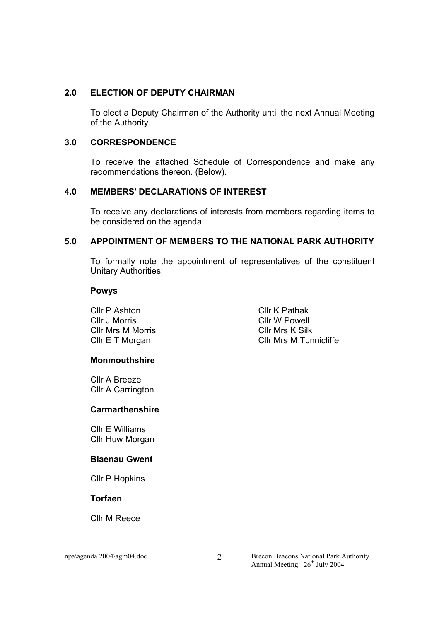### **2.0 ELECTION OF DEPUTY CHAIRMAN**

 To elect a Deputy Chairman of the Authority until the next Annual Meeting of the Authority.

### **3.0 CORRESPONDENCE**

To receive the attached Schedule of Correspondence and make any recommendations thereon. (Below).

## **4.0 MEMBERS' DECLARATIONS OF INTEREST**

 To receive any declarations of interests from members regarding items to be considered on the agenda.

### **5.0 APPOINTMENT OF MEMBERS TO THE NATIONAL PARK AUTHORITY**

To formally note the appointment of representatives of the constituent Unitary Authorities:

#### **Powys**

Cllr P Ashton Cllr J Morris Cllr Mrs M Morris Cllr E T Morgan

Cllr K Pathak Cllr W Powell Cllr Mrs K Silk Cllr Mrs M Tunnicliffe

## **Monmouthshire**

Cllr A Breeze Cllr A Carrington

## **Carmarthenshire**

Cllr E Williams Cllr Huw Morgan

#### **Blaenau Gwent**

Cllr P Hopkins

#### **Torfaen**

Cllr M Reece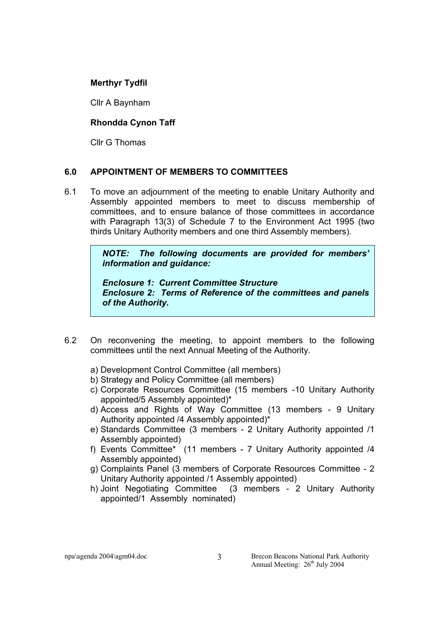**Merthyr Tydfil** 

Cllr A Baynham

## **Rhondda Cynon Taff**

Cllr G Thomas

## **6.0 APPOINTMENT OF MEMBERS TO COMMITTEES**

6.1 To move an adjournment of the meeting to enable Unitary Authority and Assembly appointed members to meet to discuss membership of committees, and to ensure balance of those committees in accordance with Paragraph 13(3) of Schedule 7 to the Environment Act 1995 (two thirds Unitary Authority members and one third Assembly members).

> *NOTE: The following documents are provided for members' information and guidance:*

> *Enclosure 1: Current Committee Structure Enclosure 2: Terms of Reference of the committees and panels of the Authority.*

- 6.2 On reconvening the meeting, to appoint members to the following committees until the next Annual Meeting of the Authority.
	- a) Development Control Committee (all members)
	- b) Strategy and Policy Committee (all members)
	- c) Corporate Resources Committee (15 members -10 Unitary Authority appointed/5 Assembly appointed)\*
	- d) Access and Rights of Way Committee (13 members 9 Unitary Authority appointed /4 Assembly appointed)\*
	- e) Standards Committee (3 members 2 Unitary Authority appointed /1 Assembly appointed)
	- f) Events Committee\* (11 members 7 Unitary Authority appointed /4 Assembly appointed)
	- g) Complaints Panel (3 members of Corporate Resources Committee 2 Unitary Authority appointed /1 Assembly appointed)
	- h) Joint Negotiating Committee (3 members 2 Unitary Authority appointed/1 Assembly nominated)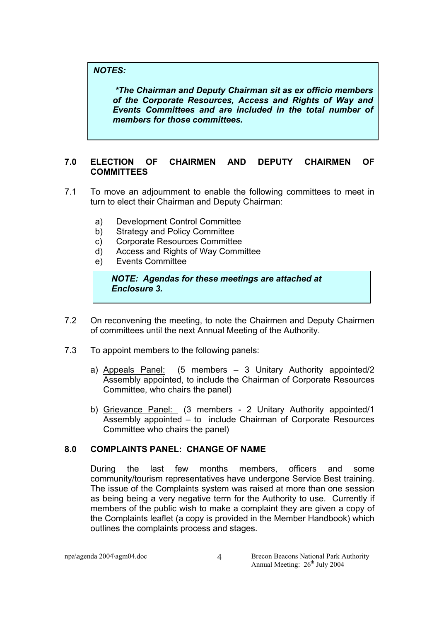## *NOTES:*

 *\*The Chairman and Deputy Chairman sit as ex officio members of the Corporate Resources, Access and Rights of Way and Events Committees and are included in the total number of members for those committees.* 

## **7.0 ELECTION OF CHAIRMEN AND DEPUTY CHAIRMEN OF COMMITTEES**

- 7.1 To move an adjournment to enable the following committees to meet in turn to elect their Chairman and Deputy Chairman:
	- a) Development Control Committee
	- b) Strategy and Policy Committee
	- c) Corporate Resources Committee
	- d) Access and Rights of Way Committee
	- e) Events Committee

## *NOTE: Agendas for these meetings are attached at Enclosure 3.*

- 7.2 On reconvening the meeting, to note the Chairmen and Deputy Chairmen of committees until the next Annual Meeting of the Authority.
- 7.3 To appoint members to the following panels:
	- a) Appeals Panel: (5 members 3 Unitary Authority appointed/2 Assembly appointed, to include the Chairman of Corporate Resources Committee, who chairs the panel)
	- b) Grievance Panel: (3 members 2 Unitary Authority appointed/1 Assembly appointed – to include Chairman of Corporate Resources Committee who chairs the panel)

## **8.0 COMPLAINTS PANEL: CHANGE OF NAME**

During the last few months members, officers and some community/tourism representatives have undergone Service Best training. The issue of the Complaints system was raised at more than one session as being being a very negative term for the Authority to use. Currently if members of the public wish to make a complaint they are given a copy of the Complaints leaflet (a copy is provided in the Member Handbook) which outlines the complaints process and stages.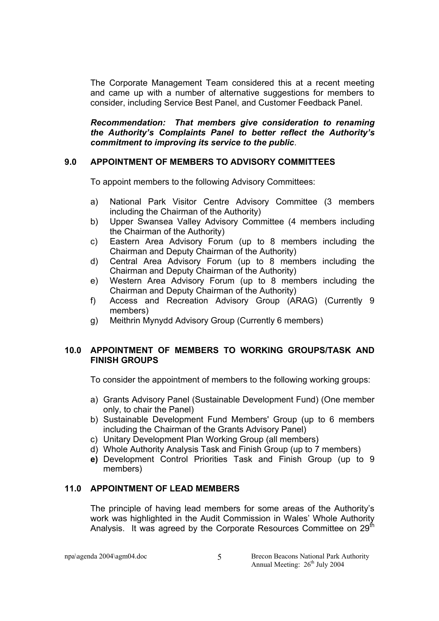The Corporate Management Team considered this at a recent meeting and came up with a number of alternative suggestions for members to consider, including Service Best Panel, and Customer Feedback Panel.

*Recommendation: That members give consideration to renaming the Authority's Complaints Panel to better reflect the Authority's commitment to improving its service to the public*.

### **9.0 APPOINTMENT OF MEMBERS TO ADVISORY COMMITTEES**

To appoint members to the following Advisory Committees:

- a) National Park Visitor Centre Advisory Committee (3 members including the Chairman of the Authority)
- b) Upper Swansea Valley Advisory Committee (4 members including the Chairman of the Authority)
- c) Eastern Area Advisory Forum (up to 8 members including the Chairman and Deputy Chairman of the Authority)
- d) Central Area Advisory Forum (up to 8 members including the Chairman and Deputy Chairman of the Authority)
- e) Western Area Advisory Forum (up to 8 members including the Chairman and Deputy Chairman of the Authority)
- f) Access and Recreation Advisory Group (ARAG) (Currently 9 members)
- g) Meithrin Mynydd Advisory Group (Currently 6 members)

### **10.0 APPOINTMENT OF MEMBERS TO WORKING GROUPS/TASK AND FINISH GROUPS**

To consider the appointment of members to the following working groups:

- a) Grants Advisory Panel (Sustainable Development Fund) (One member only, to chair the Panel)
- b) Sustainable Development Fund Members' Group (up to 6 members including the Chairman of the Grants Advisory Panel)
- c) Unitary Development Plan Working Group (all members)
- d) Whole Authority Analysis Task and Finish Group (up to 7 members)
- **e)** Development Control Priorities Task and Finish Group (up to 9 members)

#### **11.0 APPOINTMENT OF LEAD MEMBERS**

The principle of having lead members for some areas of the Authority's work was highlighted in the Audit Commission in Wales' Whole Authority Analysis. It was agreed by the Corporate Resources Committee on  $29<sup>th</sup>$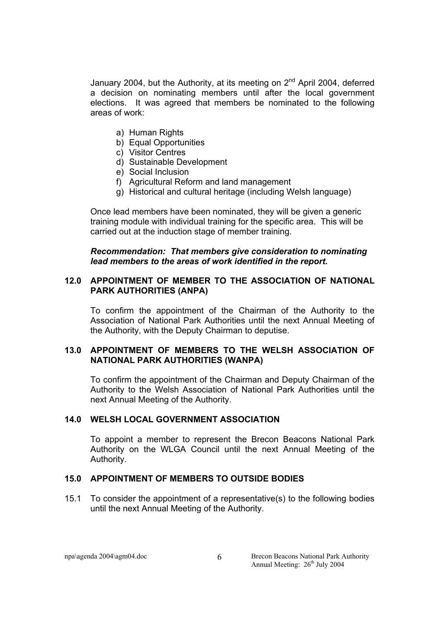January 2004, but the Authority, at its meeting on  $2^{nd}$  April 2004, deferred a decision on nominating members until after the local government elections. It was agreed that members be nominated to the following areas of work:

- a) Human Rights
- b) Equal Opportunities
- c) Visitor Centres
- d) Sustainable Development
- e) Social Inclusion
- f) Agricultural Reform and land management
- g) Historical and cultural heritage (including Welsh language)

Once lead members have been nominated, they will be given a generic training module with individual training for the specific area. This will be carried out at the induction stage of member training.

#### *Recommendation: That members give consideration to nominating lead members to the areas of work identified in the report.*

#### **12.0 APPOINTMENT OF MEMBER TO THE ASSOCIATION OF NATIONAL PARK AUTHORITIES (ANPA)**

To confirm the appointment of the Chairman of the Authority to the Association of National Park Authorities until the next Annual Meeting of the Authority, with the Deputy Chairman to deputise.

### **13.0 APPOINTMENT OF MEMBERS TO THE WELSH ASSOCIATION OF NATIONAL PARK AUTHORITIES (WANPA)**

To confirm the appointment of the Chairman and Deputy Chairman of the Authority to the Welsh Association of National Park Authorities until the next Annual Meeting of the Authority.

#### **14.0 WELSH LOCAL GOVERNMENT ASSOCIATION**

 To appoint a member to represent the Brecon Beacons National Park Authority on the WLGA Council until the next Annual Meeting of the Authority.

#### **15.0 APPOINTMENT OF MEMBERS TO OUTSIDE BODIES**

15.1 To consider the appointment of a representative(s) to the following bodies until the next Annual Meeting of the Authority.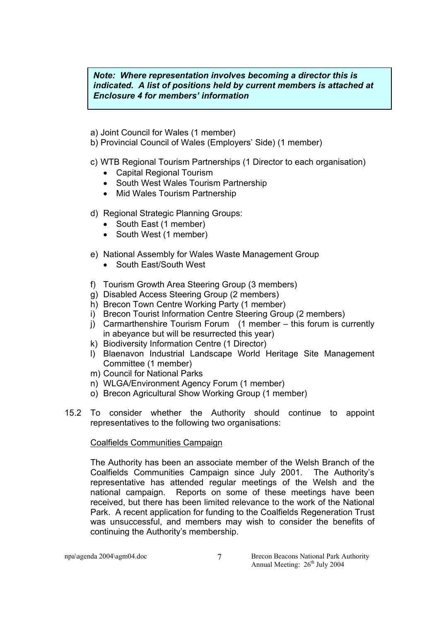*Note: Where representation involves becoming a director this is indicated. A list of positions held by current members is attached at Enclosure 4 for members' information* 

- a) Joint Council for Wales (1 member)
- b) Provincial Council of Wales (Employers' Side) (1 member)
- c) WTB Regional Tourism Partnerships (1 Director to each organisation)
	- Capital Regional Tourism
	- South West Wales Tourism Partnership
	- Mid Wales Tourism Partnership
- d) Regional Strategic Planning Groups:
	- South East (1 member)
	- South West (1 member)
- e) National Assembly for Wales Waste Management Group
	- South East/South West
- f) Tourism Growth Area Steering Group (3 members)
- g) Disabled Access Steering Group (2 members)
- h) Brecon Town Centre Working Party (1 member)
- i) Brecon Tourist Information Centre Steering Group (2 members)
- j) Carmarthenshire Tourism Forum (1 member this forum is currently in abeyance but will be resurrected this year)
- k) Biodiversity Information Centre (1 Director)
- l) Blaenavon Industrial Landscape World Heritage Site Management Committee (1 member)
- m) Council for National Parks
- n) WLGA/Environment Agency Forum (1 member)
- o) Brecon Agricultural Show Working Group (1 member)
- 15.2 To consider whether the Authority should continue to appoint representatives to the following two organisations:

## Coalfields Communities Campaign

The Authority has been an associate member of the Welsh Branch of the Coalfields Communities Campaign since July 2001. The Authority's representative has attended regular meetings of the Welsh and the national campaign. Reports on some of these meetings have been received, but there has been limited relevance to the work of the National Park. A recent application for funding to the Coalfields Regeneration Trust was unsuccessful, and members may wish to consider the benefits of continuing the Authority's membership.